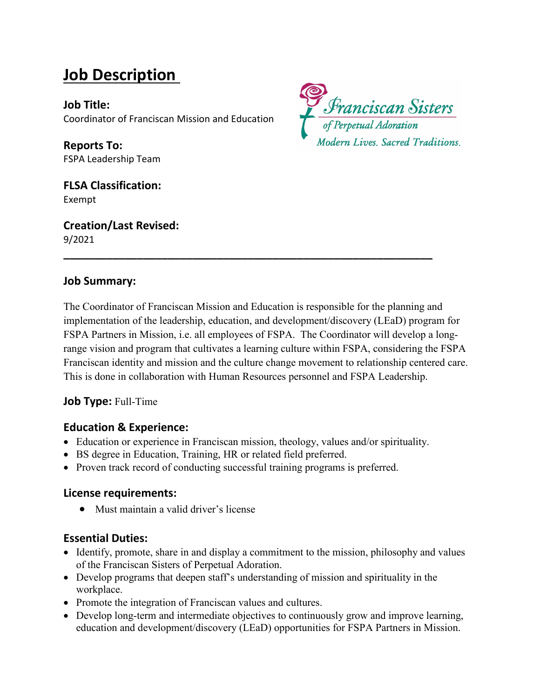# **Job Description**

**Job Title:** Coordinator of Franciscan Mission and Education

**Reports To:** FSPA Leadership Team

**FLSA Classification:** Exempt

**Creation/Last Revised:** 9/2021



#### **Job Summary:**

The Coordinator of Franciscan Mission and Education is responsible for the planning and implementation of the leadership, education, and development/discovery (LEaD) program for FSPA Partners in Mission, i.e. all employees of FSPA. The Coordinator will develop a longrange vision and program that cultivates a learning culture within FSPA, considering the FSPA Franciscan identity and mission and the culture change movement to relationship centered care. This is done in collaboration with Human Resources personnel and FSPA Leadership.

**\_\_\_\_\_\_\_\_\_\_\_\_\_\_\_\_\_\_\_\_\_\_\_\_\_\_\_\_\_\_\_\_\_\_\_\_\_\_\_\_\_\_\_\_\_\_\_\_\_\_\_\_\_\_\_\_\_\_\_\_**

#### **Job Type:** Full-Time

#### **Education & Experience:**

- Education or experience in Franciscan mission, theology, values and/or spirituality.
- BS degree in Education, Training, HR or related field preferred.
- Proven track record of conducting successful training programs is preferred.

#### **License requirements:**

• Must maintain a valid driver's license

#### **Essential Duties:**

- Identify, promote, share in and display a commitment to the mission, philosophy and values of the Franciscan Sisters of Perpetual Adoration.
- Develop programs that deepen staff's understanding of mission and spirituality in the workplace.
- Promote the integration of Franciscan values and cultures.
- Develop long-term and intermediate objectives to continuously grow and improve learning, education and development/discovery (LEaD) opportunities for FSPA Partners in Mission.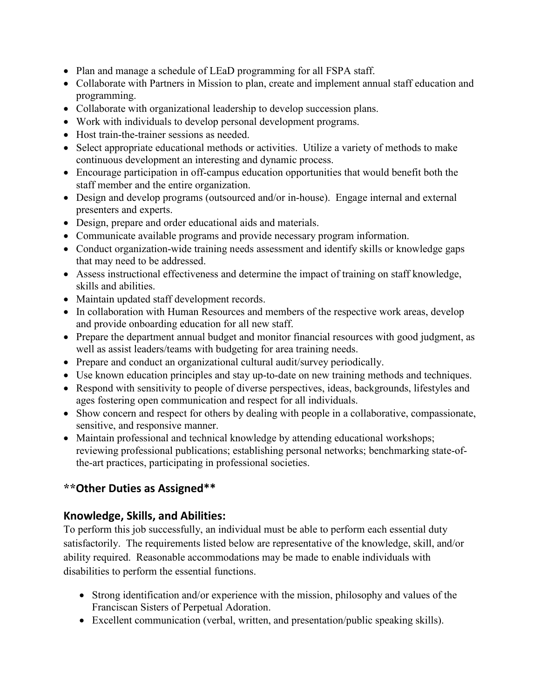- Plan and manage a schedule of LEaD programming for all FSPA staff.
- Collaborate with Partners in Mission to plan, create and implement annual staff education and programming.
- Collaborate with organizational leadership to develop succession plans.
- Work with individuals to develop personal development programs.
- Host train-the-trainer sessions as needed.
- Select appropriate educational methods or activities. Utilize a variety of methods to make continuous development an interesting and dynamic process.
- Encourage participation in off-campus education opportunities that would benefit both the staff member and the entire organization.
- Design and develop programs (outsourced and/or in-house). Engage internal and external presenters and experts.
- Design, prepare and order educational aids and materials.
- Communicate available programs and provide necessary program information.
- Conduct organization-wide training needs assessment and identify skills or knowledge gaps that may need to be addressed.
- Assess instructional effectiveness and determine the impact of training on staff knowledge, skills and abilities.
- Maintain updated staff development records.
- In collaboration with Human Resources and members of the respective work areas, develop and provide onboarding education for all new staff.
- Prepare the department annual budget and monitor financial resources with good judgment, as well as assist leaders/teams with budgeting for area training needs.
- Prepare and conduct an organizational cultural audit/survey periodically.
- Use known education principles and stay up-to-date on new training methods and techniques.
- Respond with sensitivity to people of diverse perspectives, ideas, backgrounds, lifestyles and ages fostering open communication and respect for all individuals.
- Show concern and respect for others by dealing with people in a collaborative, compassionate, sensitive, and responsive manner.
- Maintain professional and technical knowledge by attending educational workshops; reviewing professional publications; establishing personal networks; benchmarking state-ofthe-art practices, participating in professional societies.

# **\*\*Other Duties as Assigned\*\***

# **Knowledge, Skills, and Abilities:**

To perform this job successfully, an individual must be able to perform each essential duty satisfactorily. The requirements listed below are representative of the knowledge, skill, and/or ability required. Reasonable accommodations may be made to enable individuals with disabilities to perform the essential functions.

- Strong identification and/or experience with the mission, philosophy and values of the Franciscan Sisters of Perpetual Adoration.
- Excellent communication (verbal, written, and presentation/public speaking skills).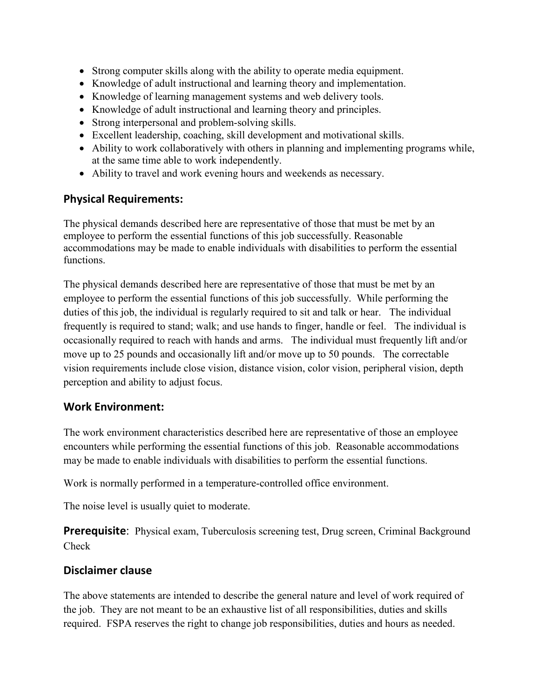- Strong computer skills along with the ability to operate media equipment.
- Knowledge of adult instructional and learning theory and implementation.
- Knowledge of learning management systems and web delivery tools.
- Knowledge of adult instructional and learning theory and principles.
- Strong interpersonal and problem-solving skills.
- Excellent leadership, coaching, skill development and motivational skills.
- Ability to work collaboratively with others in planning and implementing programs while, at the same time able to work independently.
- Ability to travel and work evening hours and weekends as necessary.

# **Physical Requirements:**

The physical demands described here are representative of those that must be met by an employee to perform the essential functions of this job successfully. Reasonable accommodations may be made to enable individuals with disabilities to perform the essential functions.

The physical demands described here are representative of those that must be met by an employee to perform the essential functions of this job successfully. While performing the duties of this job, the individual is regularly required to sit and talk or hear. The individual frequently is required to stand; walk; and use hands to finger, handle or feel. The individual is occasionally required to reach with hands and arms. The individual must frequently lift and/or move up to 25 pounds and occasionally lift and/or move up to 50 pounds. The correctable vision requirements include close vision, distance vision, color vision, peripheral vision, depth perception and ability to adjust focus.

# **Work Environment:**

The work environment characteristics described here are representative of those an employee encounters while performing the essential functions of this job. Reasonable accommodations may be made to enable individuals with disabilities to perform the essential functions.

Work is normally performed in a temperature-controlled office environment.

The noise level is usually quiet to moderate.

**Prerequisite:** Physical exam, Tuberculosis screening test, Drug screen, Criminal Background Check

# **Disclaimer clause**

The above statements are intended to describe the general nature and level of work required of the job. They are not meant to be an exhaustive list of all responsibilities, duties and skills required. FSPA reserves the right to change job responsibilities, duties and hours as needed.